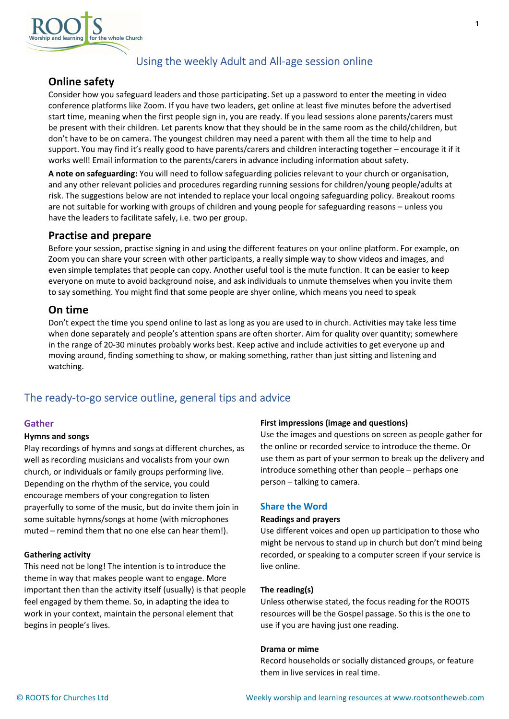

# Using the weekly Adult and All-age session online

# Online safety

Consider how you safeguard leaders and those participating. Set up a password to enter the meeting in video conference platforms like Zoom. If you have two leaders, get online at least five minutes before the advertised start time, meaning when the first people sign in, you are ready. If you lead sessions alone parents/carers must be present with their children. Let parents know that they should be in the same room as the child/children, but don't have to be on camera. The youngest children may need a parent with them all the time to help and support. You may find it's really good to have parents/carers and children interacting together – encourage it if it works well! Email information to the parents/carers in advance including information about safety.

A note on safeguarding: You will need to follow safeguarding policies relevant to your church or organisation, and any other relevant policies and procedures regarding running sessions for children/young people/adults at risk. The suggestions below are not intended to replace your local ongoing safeguarding policy. Breakout rooms are not suitable for working with groups of children and young people for safeguarding reasons – unless you have the leaders to facilitate safely, i.e. two per group.

# Practise and prepare

Before your session, practise signing in and using the different features on your online platform. For example, on Zoom you can share your screen with other participants, a really simple way to show videos and images, and even simple templates that people can copy. Another useful tool is the mute function. It can be easier to keep everyone on mute to avoid background noise, and ask individuals to unmute themselves when you invite them to say something. You might find that some people are shyer online, which means you need to speak

# On time

Don't expect the time you spend online to last as long as you are used to in church. Activities may take less time when done separately and people's attention spans are often shorter. Aim for quality over quantity; somewhere in the range of 20-30 minutes probably works best. Keep active and include activities to get everyone up and moving around, finding something to show, or making something, rather than just sitting and listening and watching.

# The ready-to-go service outline, general tips and advice

## Gather

## Hymns and songs

Play recordings of hymns and songs at different churches, as well as recording musicians and vocalists from your own church, or individuals or family groups performing live. Depending on the rhythm of the service, you could encourage members of your congregation to listen prayerfully to some of the music, but do invite them join in some suitable hymns/songs at home (with microphones muted – remind them that no one else can hear them!).

## Gathering activity

This need not be long! The intention is to introduce the theme in way that makes people want to engage. More important then than the activity itself (usually) is that people feel engaged by them theme. So, in adapting the idea to work in your context, maintain the personal element that begins in people's lives.

## First impressions (image and questions)

Use the images and questions on screen as people gather for the online or recorded service to introduce the theme. Or use them as part of your sermon to break up the delivery and introduce something other than people – perhaps one person – talking to camera.

1

## Share the Word

## Readings and prayers

Use different voices and open up participation to those who might be nervous to stand up in church but don't mind being recorded, or speaking to a computer screen if your service is live online.

## The reading(s)

Unless otherwise stated, the focus reading for the ROOTS resources will be the Gospel passage. So this is the one to use if you are having just one reading.

## Drama or mime

Record households or socially distanced groups, or feature them in live services in real time.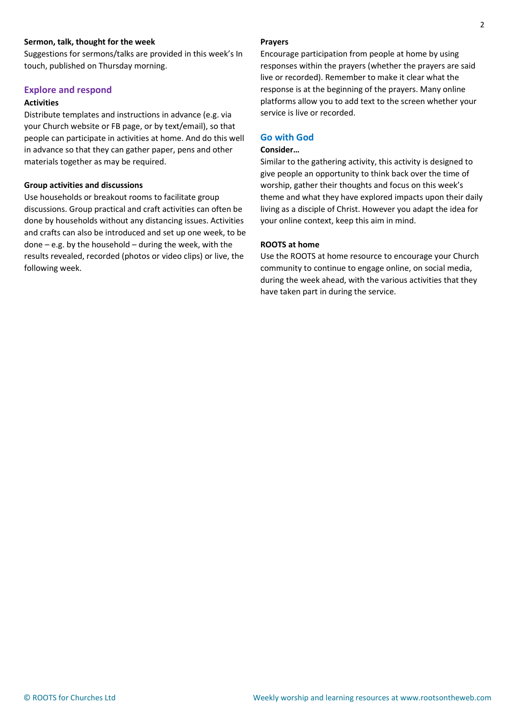### Sermon, talk, thought for the week

Suggestions for sermons/talks are provided in this week's In touch, published on Thursday morning.

### Explore and respond

### Activities

Distribute templates and instructions in advance (e.g. via your Church website or FB page, or by text/email), so that people can participate in activities at home. And do this well in advance so that they can gather paper, pens and other materials together as may be required.

#### Group activities and discussions

Use households or breakout rooms to facilitate group discussions. Group practical and craft activities can often be done by households without any distancing issues. Activities and crafts can also be introduced and set up one week, to be done – e.g. by the household – during the week, with the results revealed, recorded (photos or video clips) or live, the following week.

### Prayers

Encourage participation from people at home by using responses within the prayers (whether the prayers are said live or recorded). Remember to make it clear what the response is at the beginning of the prayers. Many online platforms allow you to add text to the screen whether your service is live or recorded.

#### Go with God

#### Consider…

Similar to the gathering activity, this activity is designed to give people an opportunity to think back over the time of worship, gather their thoughts and focus on this week's theme and what they have explored impacts upon their daily living as a disciple of Christ. However you adapt the idea for your online context, keep this aim in mind.

#### ROOTS at home

Use the ROOTS at home resource to encourage your Church community to continue to engage online, on social media, during the week ahead, with the various activities that they have taken part in during the service.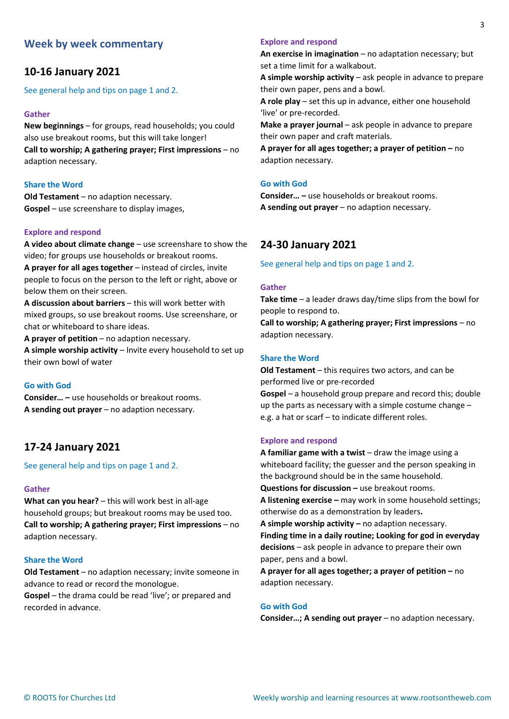# Week by week commentary

# 10-16 January 2021

See general help and tips on page 1 and 2.

### Gather

New beginnings – for groups, read households; you could also use breakout rooms, but this will take longer! Call to worship; A gathering prayer; First impressions – no adaption necessary.

### Share the Word

Old Testament – no adaption necessary. Gospel – use screenshare to display images,

#### Explore and respond

A video about climate change – use screenshare to show the video; for groups use households or breakout rooms.

A prayer for all ages together – instead of circles, invite people to focus on the person to the left or right, above or below them on their screen.

A discussion about barriers – this will work better with mixed groups, so use breakout rooms. Use screenshare, or chat or whiteboard to share ideas.

A prayer of petition – no adaption necessary.

A simple worship activity – Invite every household to set up their own bowl of water

#### Go with God

Consider… – use households or breakout rooms. A sending out prayer – no adaption necessary.

## 17-24 January 2021

See general help and tips on page 1 and 2.

#### Gather

What can you hear? – this will work best in all-age household groups; but breakout rooms may be used too. Call to worship; A gathering prayer; First impressions – no adaption necessary.

#### Share the Word

Old Testament – no adaption necessary; invite someone in advance to read or record the monologue.

Gospel – the drama could be read 'live'; or prepared and recorded in advance.

### Explore and respond

An exercise in imagination – no adaptation necessary; but set a time limit for a walkabout.

A simple worship activity – ask people in advance to prepare their own paper, pens and a bowl.

A role play – set this up in advance, either one household 'live' or pre-recorded.

Make a prayer journal – ask people in advance to prepare their own paper and craft materials.

A prayer for all ages together; a prayer of petition – no adaption necessary.

## Go with God

Consider… – use households or breakout rooms. A sending out prayer – no adaption necessary.

# 24-30 January 2021

See general help and tips on page 1 and 2.

#### Gather

**Take time** – a leader draws day/time slips from the bowl for people to respond to.

Call to worship; A gathering prayer; First impressions – no adaption necessary.

### Share the Word

Old Testament – this requires two actors, and can be performed live or pre-recorded Gospel – a household group prepare and record this; double up the parts as necessary with a simple costume change – e.g. a hat or scarf – to indicate different roles.

#### Explore and respond

A familiar game with a twist  $-$  draw the image using a whiteboard facility; the guesser and the person speaking in the background should be in the same household. Questions for discussion – use breakout rooms. A listening exercise – may work in some household settings; otherwise do as a demonstration by leaders. A simple worship activity – no adaption necessary. Finding time in a daily routine; Looking for god in everyday decisions – ask people in advance to prepare their own paper, pens and a bowl. A prayer for all ages together; a prayer of petition – no

adaption necessary.

#### Go with God

Consider…; A sending out prayer – no adaption necessary.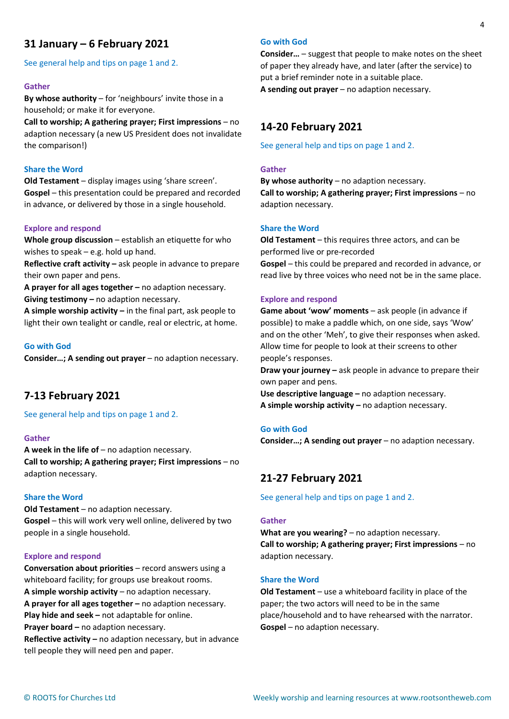# 31 January – 6 February 2021

See general help and tips on page 1 and 2.

#### Gather

By whose authority – for 'neighbours' invite those in a household; or make it for everyone.

Call to worship; A gathering prayer; First impressions – no adaption necessary (a new US President does not invalidate the comparison!)

#### Share the Word

Old Testament – display images using 'share screen'. Gospel – this presentation could be prepared and recorded in advance, or delivered by those in a single household.

### Explore and respond

Whole group discussion – establish an etiquette for who wishes to speak – e.g. hold up hand.

Reflective craft activity – ask people in advance to prepare their own paper and pens.

A prayer for all ages together – no adaption necessary. Giving testimony – no adaption necessary.

A simple worship activity  $-$  in the final part, ask people to light their own tealight or candle, real or electric, at home.

#### Go with God

Consider…; A sending out prayer – no adaption necessary.

## 7-13 February 2021

See general help and tips on page 1 and 2.

#### Gather

A week in the life of  $-$  no adaption necessary. Call to worship; A gathering prayer; First impressions – no adaption necessary.

#### Share the Word

Old Testament – no adaption necessary. Gospel – this will work very well online, delivered by two people in a single household.

#### Explore and respond

Conversation about priorities – record answers using a whiteboard facility; for groups use breakout rooms. A simple worship activity – no adaption necessary. A prayer for all ages together – no adaption necessary. Play hide and seek – not adaptable for online. Prayer board – no adaption necessary. Reflective activity – no adaption necessary, but in advance tell people they will need pen and paper.

## Go with God

Consider… – suggest that people to make notes on the sheet of paper they already have, and later (after the service) to put a brief reminder note in a suitable place.

A sending out prayer – no adaption necessary.

## 14-20 February 2021

See general help and tips on page 1 and 2.

#### Gather

By whose authority  $-$  no adaption necessary. Call to worship; A gathering prayer; First impressions – no adaption necessary.

### Share the Word

Old Testament – this requires three actors, and can be performed live or pre-recorded Gospel – this could be prepared and recorded in advance, or read live by three voices who need not be in the same place.

#### Explore and respond

Game about 'wow' moments – ask people (in advance if possible) to make a paddle which, on one side, says 'Wow' and on the other 'Meh', to give their responses when asked. Allow time for people to look at their screens to other people's responses.

Draw your journey – ask people in advance to prepare their own paper and pens.

Use descriptive language – no adaption necessary. A simple worship activity – no adaption necessary.

#### Go with God

Consider…; A sending out prayer – no adaption necessary.

## 21-27 February 2021

See general help and tips on page 1 and 2.

#### Gather

What are you wearing? – no adaption necessary. Call to worship; A gathering prayer; First impressions – no adaption necessary.

#### Share the Word

Old Testament – use a whiteboard facility in place of the paper; the two actors will need to be in the same place/household and to have rehearsed with the narrator. Gospel – no adaption necessary.